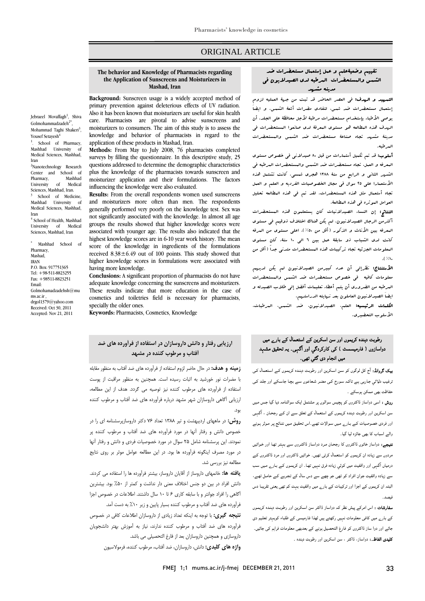### ORIGINAL ARTICLE

## **The behavior and Knowledge of Pharmacists regarding the Application of Sunscreens and Moisturizers in Mashad, Iran**

**Background:** Sunscreen usage is a widely accepted method of primary prevention against deleterious effects of UV radiation. Also it has been known that moisturizers are useful for skin health care. Pharmacists are pivotal to advise sunscreens and moisturizers to consumers. The aim of this study is to assess the knowledge and behavior of pharmacists in regard to the application of these products in Mashad, Iran.

**Methods:** From May to July 2008, 76 pharmacists completed surveys by filling the questionnaire. In this descriptive study, 25 questions addressed to determine the demographic characteristics plus the knowledge of the pharmacists towards sunscreen and moisturizer application and their formulations. The factors influencing the knowledge were also evaluated.

**Results:** From the overall respondents women used sunscreens and moisturizers more often than men. The respondents generally performed very poorly on the knowledge test. Sex was not significantly associated with the knowledge. In almost all age groups the results showed that higher knowledge scores were associated with younger age. The results also indicated that the highest knowledge scores are in 6-10 year work history. The mean score of the knowledge in ingredients of the formulations received  $8.38 \pm 6.49$  out of 100 points. This study showed that higher knowledge scores in formulations were associated with having more knowledge.

**Conclusions:** A significant proportion of pharmacists do not have adequate knowledge concerning the sunscreens and moisturizers. These results indicate that more education in the case of cosmetics and toiletries field is necessary for pharmacists, specially the older ones.

**Keywords:** Pharmacists, Cosmetics, Knowledge

### تقييم وضعيةعلم و عمل إستعمال مستحضرات ضد الشمس والمستحضرات المرطبه لدي الصيدلايون في مدينه مشهد

Ī  $\overline{a}$ 

 التمهيد و الهدف: في العصر الحاضر قد ثبت من جهة العمليه لزوم إستعمال مستحضرات ضد شمس، لتفادي مضرات أشعة الشمس. و ايضاَ يوصي الأطباء بإستخدام مستحضرات مرطبة لأجل محافظة علي الجلد. أن الهدف هذه المطالعه هو مستوي المعرفة لدي صانعوا المستحضرات في مدينة مشهد تجاه صناعة مستحضرات ضد الشمس والمستحضرات المرطبه.

المعولية قد تم تنتيل المتعارات فن قبل ٨٠ صيد لاتن في هضو فل مستوفا<br>البعرفة و العبل، تجاه مستحضرات ضد الشبس والبستحضرات البرطبة في الشهر الثاني و الرابع من سنة 1388 هجري شمسي. كانت تشتمل هذه الأستعمارا علي 25 سوال في مجال الخصوصيات الفرديه و العلم و العمل تجاه أستعمال مثل هذه المستحضرات. لقد تم في هذه المطالعه تحليل العوامل الموثره في هذه المطالعة. أسلوب: قد تم تكميل أستمارات من قبل 80 صيدلاني في خصوص مستوي

 النتائج: إن النساء الصيدلانيات كان يستعلمون هذه المستحضرات أكثرمن الرجال الصيدلانيون. لم يكن هناك اختلاف ذوقيم في مستوي المعرفه بين الأناث و الذكور (أقل من %50). اعلي مستوي من المرفه كانت لدي الشباب ذو سابقة عمل بين 6 الي 10 سنة. كان مستوي المعلومات الجزئيه تجاه تركيبات هذه المستحضرات متدني جداً (أقل من  $\mathcal{N}$ 

...^^<br>**الأستنتاج:** نظرإل<sub>ى</sub> أن عدد كبيرمن الصيدلانيون لم يكن لدي*ه*م معلومات كافية في التالية في خصوص مستحضرات ضد الشهر والمستحضرات<br>معلومات كافيه في خصوص مستحضرات ضد الشهر والمستحضرات المرطبه من الضروري أن يتم أعطاء تعليمات أفضل إلي طلاب الصيدله و ايضاَ الصيدلانيون العاملون بعد نهايته الدراستهم.

 الكلمات الرئيسيه: العلم، الصيدلانيون، ضد الشمس، المرطبات، الأسلوب التحضيري.

#### رطوبت دہندہ کریموں اور سن اسکرین کے استعمال کے بارے میں دواسازوں ( فارمیسسٹ ) کی کارکردگي اور آگہی۔ یہ تحقیق مشہد میں انجام دی گئي تھی۔

بیک گروانڈ: آج کل لوگوں کو سـن اسـکرین اور رطوبـت دہنـدہ کریمـوں کـے اسـتعمال کـی ترغیب دلـائي جـارہی ہـے تاکـہ سـورج کـی مضـر شـعاعوں سـے بچـا جاسـکے اور جلـد کـی حفاظت بھی ممکن ہوسکے ۔

روش : اسی دواساز ڈاکٹروں کو پچیس سوالوں پر مشتمل ایک سوالنامہ دیا گيا جـس مـیں سن اسکرین اور رطوبت دہندہ کریموں کے استعمال کے تعلق سـے ان کـے رجحـان ، آگہـی اور فردی خصوصیات کـے بـارے مـیں سـوالات تھـے۔اس تحقیـق مـیں نتـائج پـر مـوثر ہـونے والے اسباب کا بھی جائزہ لیا گيا۔

نتیجے: دواساز خاتوں ڈاکٹروں کا رجحـان مـرد دواسـاز ڈاکٹـروں سـے بہتـر تھـا اور خـواتیں مردوں سے زیادہ ان کریموں کو استعمال کرتی تھیں۔ خواتیں ڈاکٹروں اور مرد ڈاکٹـروں کـے درمیاں آگہی اور واقفیت میں کوئي زیادہ فرق نہیں تھـا۔ ان کریمـوں کـے بـارے مـیں سـب سے زیادہ واقفیت جوان افراد کو تھی جو چھے سے دس سال کے تجـربے کـے حامـل تھـے، البتہ ان کریموں کے اجزا اور ترکیبات کے بارے میں واقفیت بہت کم تھی یعنی تقریبـا دس فیصد۔

سفارشات : اس امرکے پیش نظر کہ دواساز ڈاکٹر سن اسـکرین اور رطوبـت دہنـدہ کریمـوں کے بارے میں کافی معلومات نہیں رکھتے ہیں لھذا فارمیسی کے طلباء کوبہتر تعلـیم دی جائے اور دوا ساز ڈاکٹروں کو فارغ التحصیل ہونے کے بعدبھی معلومات فراہم کی جائيں۔ کلیدی الفاظ۔: دواساز، ڈاکٹر ، سن اسکرین اور رطوبت دہندہ ۔

# **آفتاب و مرطوب كننده در مشهد ارزيابي رفتار و دانش داروسازان در استفاده از فرآورده هاي ضد**

 **زمينه و هدف:** در حال حاضر لزوم استفاده از فرآورده هاي ضد آفتاب به منظور مقابله با مضرات نور خورشيد به اثبات رسيده است. همچنين به منظور مراقبت از پوست استفاده از فرآورده هاي مرطوب كننده نيز توصيه مي گردد. هدف از اين مطالعه، ارزيابي آگاهي داروسازان شهر مشهد درباره فرآورده هاي ضد آفتاب و مرطوب كننده بود.

 **روش:** در ماههاي ارديبهشت و تير 1388 تعداد 76 دكتر داروسازپرسشنامه اي را در خصوص دانش و رفتار آنها در مورد فرآورده هاي ضد آفتاب و مرطوب كننده پر نمودند. اين پرسشنامه شامل 25 سوال در مورد خصوصيات فردي و دانش و رفتار آنها در مورد مصرف اينگونه فرآورده ها بود. در اين مطالعه عوامل موثر بر روي نتايج مطالعه نيز بررسي شد.

 **يافته ها:** خانمهاي داروساز از آقايان داروساز، بيشتر فرآورده ها را استفاده مي كردند. دانش افراد در بين دو جنس اختلاف معني دار نداشت و كمتر از %50 بود. بيشترين آگاهي را افراد جوانتر و با سابقه كاري 6 تا 10 سال داشتند. اطلاعات در خصوص اجزا فرآورده هاي ضد آفتاب و مرطوب كننده بسيار پايين و زير %10 به دست آمد.

 **نتيجه گيري:** با توجه به اينكه تعداد زيادي از داروسازان اطلاعات كافي در خصوص فرآورده هاي ضد آفتاب و مرطوب كننده ندارند، نياز به آموزش بهتر دانشجويان داروسازي و همچنين داروسازان بعد از فارغ التحصيلي مي باشد. **واژه هاي كليدي:** دانش، داروسازان، ضد آفتاب، مرطوب كننده، فرمولاسيون

FMEJ 1;1 mums.ac.ir/j-fmej DECEMBER 21, 2011 333

<sup>2</sup>Nanotechnology Research Center and School of<br>Pharmacy Mashhad Pharmacy, Mashhad<br>University of Medical University Sciences, Mashhad, Iran. 3 School of Medicine Mashhad University of Medical Sciences, Mashhad, Iran <sup>4</sup> School of Health, Mashhad University of Medical Sciences, Mashhad, Iran

\* Mashhad School of Pharmacy, Mashad, IRAN P.O. Box: 917751365 Tel: +98-511-8823255 Fax: +98511-8823251 Email: Golmohamadzadehsh@mu ms.ac.ir , drgol1379@yahoo.com Received: Oct 30, 2011 Accepted: Nov 21, 2011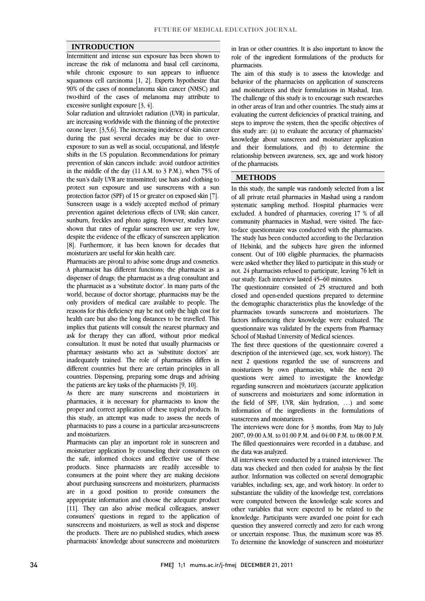#### **INTRODUCTION**

 Intermittent and intense sun exposure has been shown to increase the risk of melanoma and basal cell carcinoma, while chronic exposure to suit appears to inhuence<br>squamous cell carcinoma [1, 2]. Experts hypothesize that 90% of the cases of nonmelanoma skin cancer (NMSC) and two-third of the cases of melanoma may attribute to while chronic exposure to sun appears to influence excessive sunlight exposure [3, 4].

excessive sunlight exposure [3, 4].<br>Solar radiation and ultraviolet radiation (UVR) in particular, are increasing worldwide with the thinning of the protective ozone layer. [3,5,6]. The increasing incidence of skin cancer during the past several decades may be due to over- exposure to sun as well as social, occupational, and lifestyle prevention of skin cancers include: avoid outdoor activities in the middle of the day  $(11 \text{ A.M. to } 3 \text{ P.M.})$ , when 75% of the sun's daily UVR are transmitted; use hats and clothing to protect sun exposure and use sunscreens with a sun Sunscreen usage is a widely accepted method of primary prevention against deleterious effects of UVR; skin cancer, sunburn, freckles and photo aging. However, studies have shown that rates of regular sunscreen use are very low, [8]. Furthermore, it has been known for decades that shifts in the US population. Recommendations for primary protection factor (SPF) of 15 or greater on exposed skin [7]. despite the evidence of the efficacy of sunscreen application moisturizers are useful for skin health care.

 Pharmacists are pivotal to advise some drugs and cosmetics. dispenser of drugs; the pharmacist as a drug consultant and the pharmacist as a 'substitute doctor'. In many parts of the world, because of doctor shortage, pharmacists may be the only providers of medical care available to people. The health care but also the long distances to be travelled. This implies that patients will consult the nearest pharmacy and ask for therapy they can afford, without prior medical consultation. It must be noted that usually pharmacists or inadequately trained. The role of pharmacists differs in different countries but there are certain principles in all countries. Dispensing, preparing some drugs and advising A pharmacist has different functions; the pharmacist as a reasons for this deficiency may be not only the high cost for pharmacy assistants who act as 'substitute doctors' are the patients are key tasks of the pharmacists [9, 10].

the patients are key tasks of the pharmacists [9, 10].<br>As there are many sunscreens and moisturizers in pharmacies, it is necessary for pharmacists to know the proper and correct application of these topical products. In this study, an attempt was made to assess the needs of pharmacists to pass a course in a particular area-sunscreens and moisturizers.

 Pharmacists can play an important role in sunscreen and moisturizer application by counseling their consumers on the safe, informed choices and effective use of these consumers at the point where they are making decisions about purchasing sunscreens and moisturizers, pharmacists are in a good position to provide consumers the appropriate information and choose the adequate product consumers' questions in regard to the application of sunscreens and moisturizers, as well as stock and dispense the products. There are no published studies, which assess pharmacists' knowledge about sunscreens and moisturizers products. Since pharmacists are readily accessible to [11]. They can also advise medical colleagues, answer

 role of the ingredient formulations of the products for in Iran or other countries. It is also important to know the pharmacists.

 The aim of this study is to assess the knowledge and and moisturizers and their formulations in Mashad, Iran. The challenge of this study is to encourage such researches in other areas of Iran and other countries. The study aims at steps to improve the system, then the specific objectives of this study are: (a) to evaluate the accuracy of pharmacists' knowledge about sunscreen and moisturizer application and their formulations, and (b) to determine the relationship between awareness, sex, age and work history l behavior of the pharmacists on application of sunscreens evaluating the current deficiencies of practical training, and of the pharmacists.

#### **METHODS**

 In this study, the sample was randomly selected from a list systematic sampling method. Hospital pharmacies were excluded. A hundred of pharmacies, covering 17 % of all community pharmacies in Mashad, were visited. The face- to-face questionnaire was conducted with the pharmacists. of Helsinki, and the subjects have given the informed consent. Out of 100 eligible pharmacies, the pharmacists were asked whether they liked to participate in this study or not. 24 pharmacists refused to participate, leaving 76 left in of all private retail pharmacies in Mashad using a random The study has been conducted according to the Declaration our study. Each interview lasted 45–60 minutes.

 $\overline{a}$ 

 The questionnaire consisted of 25 structured and both closed and open-ended questions prepared to determine the demographic characteristics plus the knowledge of the factors influencing their knowledge were evaluated. The questionnaire was validated by the experts from Pharmacy pharmacists towards sunscreens and moisturizers. The School of Mashad University of Medical sciences.

 The first three questions of the questionnaire covered a next 2 questions regarded the use of sunscreens and moisturizers by own pharmacists, while the next 20 questions were aimed to investigate the knowledge regarding sunscreen and moisturizers (accurate application the field of SPF, UVR, skin hydration, …) and some information of the ingredients in the formulations of description of the interviewed (age, sex, work history). The of sunscreens and moisturizers and some information in sunscreens and moisturizers.

The interviews were done for 3 months, from May to July 22027, 20, 20, 11 to 24, 22, 22, 23, 24 The filled questionnaires were recorded in a database, and 2007, 09:00 A.M. to 01:00 P.M. and 04:00 P.M. to 08:00 P.M. the data was analyzed.

 All interviews were conducted by a trained interviewer. The data was checked and then coded for analysis by the first variables, including: sex, age, and work history. In order to substantiate the validity of the knowledge test, correlations were computed between the knowledge scale scores and other variables that were expected to be related to the question they answered correctly and zero for each wrong or uncertain response. Thus, the maximum score was 85. To determine the knowledge of sunscreen and moisturizer author. Information was collected on several demographic knowledge. Participants were awarded one point for each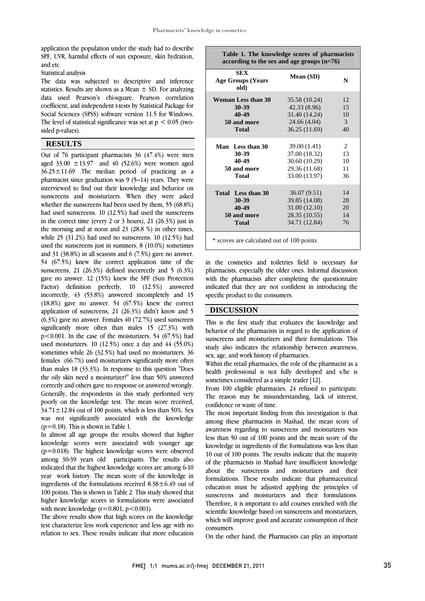1

 application the population under the study had to describe SPF, UVR, harmful effects of sun exposure, skin hydration, and etc.

Statistical analysis

 The data was subjected to descriptive and inference statistics. Results are shown as a Mean  $\pm$  SD. For analyzing data used Pearson's chi-square, Pearson correlation coefficient, and independent t-tests by Statistical Package for .<br>م The level of statistical significance was set at  $p < 0.05$  (two-<br>sided n-values). Social Sciences (SPSS) software version 11.5 for Windows. sided p-values).

#### **RESULTS**

 $\overline{a}$  $\frac{33.00 \pm 13.97}{2}$  and 40 (52.6%) were women aged 33.00  $\pm 13.97$  and 40 (52.6%) were women aged  $36.25 \pm 11.69$  . The median period of practicing as a pharmacist since graduation was  $9(5-14)$  years. They were interviewed to find out their knowledge and behavior on whether the sunscreens had been used by them, 55 (68.8%) had used sunscreens. 10 (12.5%) had used the sunscreens in the correct time (every 2 or 3 hours), 21 (26.3%) just in the morning and at noon and 23 (28.8 %) in other times, wine  $25$  (51.2%) had used to sunscreens. To  $(12.5\%)$  had used the sunscreens just in summers, 8 (10.0%) sometimes and 31 (38.8%) in all seasons and  $6$  (7.5%) gave no answer. 54 (67.5%) knew the correct application time of the sunscreens, 21 (20.5%) defined incorrectly and 5 (0.5%)<br>gave no answer. 12 (15%) knew the SPF (Sun Protection Factor) definition perfectly, 10 (12.5%) answered incorrectly, 43 (53.8%) answered incompletely and 15 (18.8%) gave no answer. 54 (67.5%) knew the correct  $\alpha$  application of sunscreens, 21 (20.5%) didn't know and  $\beta$  (6.3%) gave no answer. Females 40 (72.7%) used sunscreen significantly more often than males  $15$   $(27.3%)$  with p<0.001. In the case of the moisturizers, 54 (67.5%) had used moisturizers. 10 (12.5%) once a day and 44 (55.0%) sometimes while 20  $(52.9\%)$  had used no moisturizers. So females  $(66.7\%)$  used moisturizers significantly more often than males 18 (33.3%). In response to this question "Does the oily skin need a moisturizer?" less than 50% answered correctly and others gave no response or answered wrongly. poorly on the knowledge test. The mean score received,  $34.71 \pm 12.84$  out of 100 points, which is less than 50%. Sex was not significantly associated with the knowledge Out of 76 participant pharmacists 36 (47.4%) were men sunscreens and moisturizers. When they were asked while 25 (31.2%) had used no sunscreens. 10 (12.5%) had sunscreens, 21 (26.3%) defined incorrectly and 5 (6.3%) application of sunscreens, 21 (26.3%) didn't know and 5 sometimes while 26 (32.5%) had used no moisturizers. 36 Generally, the respondents in this study performed very  $(p=0.18)$ . This is shown in Table 1.

(p=0.18). Inis is shown in Table 1.<br>In almost all age groups the results showed that higher knowledge scores were associated with younger age  $(p=0.018)$ . The highest knowledge scores were observed among 30-39 years old participants. The results also indicated that the highest knowledge scores are among 6-10 ingredients of the formulations received  $8.38 \pm 6.49$  out of 100 points. This is shown in Table 2. This study showed that higher knowledge scores in formulations were associated year work history. The mean score of the knowledge in with more knowledge  $(r=0.801, p<0.001)$ .

with more knowledge  $(r=0.801, p\leq 0.001)$ .<br>The above results show that high scores on the knowledge test characterize less work experience and less age with no relation to sex. These results indicate that more education

| Table 1. The knowledge scores of pharmacists<br>according to the sex and age groups $(n=76)$ |               |    |  |  |  |  |  |
|----------------------------------------------------------------------------------------------|---------------|----|--|--|--|--|--|
| <b>SEX</b><br><b>Age Groups (Years</b><br>old)                                               | Mean (SD)     | N  |  |  |  |  |  |
| <b>Woman Less than 30</b>                                                                    | 35.58 (10.24) | 12 |  |  |  |  |  |
| 30-39                                                                                        | 42.33(8.96)   | 15 |  |  |  |  |  |
| 40-49                                                                                        | 31.40 (14.24) | 10 |  |  |  |  |  |
| 50 and more                                                                                  | 24.66 (4.04)  | 3  |  |  |  |  |  |
| <b>Total</b>                                                                                 | 36.25(11.69)  | 40 |  |  |  |  |  |
| Man Less than 30                                                                             | 39.00 (1.41)  | 2  |  |  |  |  |  |
| 30-39                                                                                        | 37.00 (18.32) | 13 |  |  |  |  |  |
| 40-49                                                                                        | 30.60 (10.29) | 10 |  |  |  |  |  |
| 50 and more                                                                                  | 29.36 (11.68) | 11 |  |  |  |  |  |
| <b>Total</b>                                                                                 | 33.00 (13.97) | 36 |  |  |  |  |  |
| Total Less than 30                                                                           | 36.07(9.51)   | 14 |  |  |  |  |  |
| 30-39                                                                                        | 39.85 (14.08) | 28 |  |  |  |  |  |
| 40-49                                                                                        | 31.00 (12.10) | 20 |  |  |  |  |  |
| 50 and more                                                                                  | 28.35 (10.55) | 14 |  |  |  |  |  |
| <b>Total</b>                                                                                 | 34.71 (12.84) | 76 |  |  |  |  |  |
| * scoves are calculated out of 100 points                                                    |               |    |  |  |  |  |  |

Ī j

 in the cosmetics and toiletries field is necessary for pharmacists, especially the older ones. Informal discussion<br>with the pharmacists after completing the questionnaire indicated that they are not confident in introducing the pharmacists, especially the older ones. Informal discussion specific product to the consumers.

#### **DISCUSSION**

Inis is the first study that evaluates the knowledge and<br>behavior of the pharmacists in regard to the application of sunscreens and moisturizers and their formulations. This study also indicates the relationship between awareness, This is the first study that evaluates the knowledge and sex, age, and work history of pharmacies.

j Within the retail pharmacies, the role of the pharmacist as a health professional is not fully developed and s/he is sometimes considered as a simple trader [12].

 From 100 eligible pharmacies, 24 refused to participate. The reason may be misunderstanding, lack of interest, confidence or waste of time.

 The most important finding from this investigation is that among these pharmacists in Mashad, the mean score of awareness regarding to sunscreens and moisturizers was less than 50 out of 100 points and the mean score of the 10 out of 100 points. The results indicate that the majority of the pharmacists in Mashad have insufficient knowledge about the sunscreens and moisturizers and their formulations. These results indicate that pharmaceutical sunscreens and moisturizers and their formulations. Therefore, it is important to add courses enriched with the scientific knowledge based on sunscreens and moisturizers, which will improve good and accurate consumption of their knowledge in ingredients of the formulations was less than education must be adjusted applying the principles of consumers.

On the other hand, the Pharmacists can play an important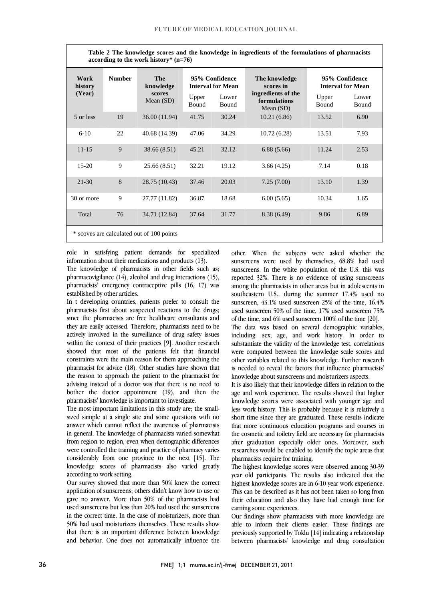$\overline{a}$ Table 2 The knowledge scores and the knowledge in ingredients of the formulations of pharmacists **assemble in the model** bistance  $\mathbb{R}$  (a  $70$ ) **according to the work history\* (n=76)** 

| Work<br>history<br>(Year)                 | <b>Number</b> | The<br>knowledge<br>scores<br>Mean $(SD)$ | Upper<br>Bound | 95% Confidence<br><b>Interval for Mean</b><br>Lower<br>Bound | The knowledge<br>scores in<br>ingredients of the<br>formulations<br>Mean $(SD)$ | Upper<br>Bound | 95% Confidence<br><b>Interval for Mean</b><br>Lower<br>Bound |  |  |
|-------------------------------------------|---------------|-------------------------------------------|----------------|--------------------------------------------------------------|---------------------------------------------------------------------------------|----------------|--------------------------------------------------------------|--|--|
| 5 or less                                 | 19            | 36.00 (11.94)                             | 41.75          | 30.24                                                        | 10.21(6.86)                                                                     | 13.52          | 6.90                                                         |  |  |
| $6 - 10$                                  | 22            | 40.68 (14.39)                             | 47.06          | 34.29                                                        | 10.72(6.28)                                                                     | 13.51          | 7.93                                                         |  |  |
| $11 - 15$                                 | 9             | 38.66 (8.51)                              | 45.21          | 32.12                                                        | 6.88(5.66)                                                                      | 11.24          | 2.53                                                         |  |  |
| $15-20$                                   | 9             | 25.66 (8.51)                              | 32.21          | 19.12                                                        | 3.66(4.25)                                                                      | 7.14           | 0.18                                                         |  |  |
| $21 - 30$                                 | 8             | 28.75 (10.43)                             | 37.46          | 20.03                                                        | 7.25(7.00)                                                                      | 13.10          | 1.39                                                         |  |  |
| 30 or more                                | 9             | 27.77 (11.82)                             | 36.87          | 18.68                                                        | 6.00(5.65)                                                                      | 10.34          | 1.65                                                         |  |  |
| Total                                     | 76            | 34.71 (12.84)                             | 37.64          | 31.77                                                        | 8.38 (6.49)                                                                     | 9.86           | 6.89                                                         |  |  |
| * scoves are calculated out of 100 points |               |                                           |                |                                                              |                                                                                 |                |                                                              |  |  |

 $\overline{a}$ 

 role in satisfying patient demands for specialized information about their medications and products (13).<br>The knowledge of pharmacists in other fields such as; pharmacovigilance (14), alcohol and drug interactions (15), pharmacists' emergency contraceptive pills (16, 17) was information about their medications and products (13). established by other articles.

 In t developing countries, patients prefer to consult the since the pharmacists are free healthcare consultants and they are easily accessed. Therefore, pharmacists need to be actively involved in the surveillance of drug safety issues within the context of their practices [9]. Another research constraints were the main reason for them approaching the pharmacist for advice (18). Other studies have shown that the reason to approach the patient to the pharmacist for advising instead of a doctor was that there is no need to<br>hether the destate experiment (10) and then the bother the doctor appointment (19), and then the pharmacists' knowledge is important to investigate. pharmacists first about suspected reactions to the drugs; showed that most of the patients felt that financial pharmacists' knowledge is important to investigate.

 The most important limitations in this study are; the small- sized sample at a single site and some questions with no ailswei winen eannot feneer the awareness of pharmacists<br>in general. The knowledge of pharmacists varied somewhat from region to region, even when demographic differences were controlled the training and practice of pharmacy varies considerably from one province to the next [15]. The knowledge scores of pharmacists also varied greatly answer which cannot reflect the awareness of pharmacists according to work setting.

 Our survey showed that more than 50% knew the correct application of sunscreens; others didn't know how to use or gave no answer. More than 50% of the pharmacists had in the correct time. In the case of moisturizers, more than 50% had used moisturizers themselves. These results show that there is an important difference between knowledge and behavior. One does not automatically influence the used sunscreens but less than 20% had used the sunscreens

 other. When the subjects were asked whether the sunscreens were used by themselves, 68.8% had used sunscreens. In the white population of the 0.5, this was<br>reported 32%. There is no evidence of using sunscreens among the pharmacists in other areas but in adolescents in southeastern U.S., during the summer 17.4% used no sunscreen,  $43.1\%$  used sunscreen  $25\%$  of the time,  $16.4\%$ of the time, and 6% used sunscreen  $100\%$  of the time [20]. sunscreens. In the white population of the U.S. this was used sunscreen 50% of the time, 17% used sunscreen 75%

l

 $\overline{a}$ 

 The data was based on several demographic variables, including: sex, age, and work history. In order to substantiate the validity of the knowledge test, correlations other variables related to this knowledge. Further research is needed to reveal the factors that influence pharmacists were computed between the knowledge scale scores and knowledge about sunscreens and moisturizers aspects.

 It is also likely that their knowledge differs in relation to the knowledge scores were associated with younger age and less work history. This is probably because it is relatively a short time since they are graduated. These results indicate that more continuous education programs and courses in after graduation especially older ones. Moreover, such researches would be enabled to identify the topic areas that age and work experience. The results showed that higher the cosmetic and toiletry field are necessary for pharmacists pharmacists require for training.

The highest Knowledge scores were observed allong 50-59<br>year old participants. The results also indicated that the highest knowledge scores are in 6-10 year work experience. This can be described as it has not been taken so long from their education and also they have had enough time for The highest knowledge scores were observed among 30-39 earning some experiences.

 Our findings show pharmacists with more knowledge are able to inform their clients easier. These findings are previously supported by Toklu [14] indicating a relationship between pharmacists' knowledge and drug consultation